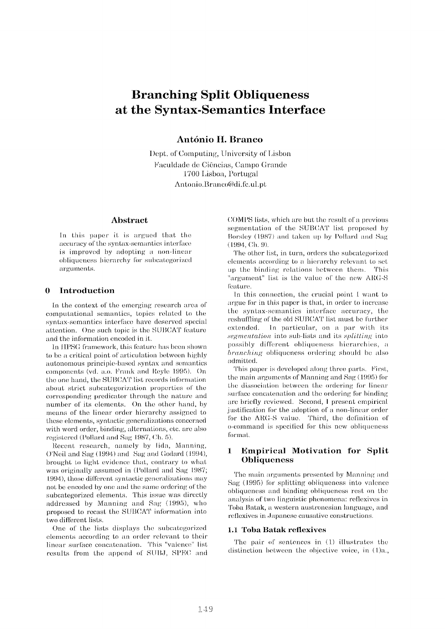# **Branching Split Obliqueness at the Syntax-Semantics Interface**

## António H. Branco

l)ept, of Computing, University of Lisbon Faculdade de Ciências, Campo Grande 11700 I,isboa, Portugal Antonio.Branco@di.fc. ul.pt

#### **Abstract**

In this paper it is argued that the accuracy of the syntax-semantics interface is improyed by adopting a non-linear obliqueness hierarchy for subcategorized arguments.

## **0 Introduction**

In the context of the emerging research area of computational semantics, topics related to the syntax-semantics interface have deserved special attention. One such topic is the SUBCAT feature and the information encoded in it.

In IIPSG framework, this feature has been shown to be a critical point of articulation between highly autononmus principle-based syntax and semantics components (vd. a.o. Frank and Reyle 1995). On the one hand, the SUBCAT list records information about strict subcategorization properties of the corresponding predicator through the nature and number of its elements. On the other hand, by means of' the linear order hierarchy assigned to these elements, syntactic generalizations concerned with word order, binding, alternations, etc. are also registered (Pollard and Sag 1987, Ch. 5).

Recent research, namely by lida, Manning, ()'Neil and Sag (1994) and Sag and Godard (1994), brought to light evidence that, contrary to what was originally assumed in (Pollard and Sag 1987; 1994), those different syntactic generalizations may not be encoded by one and the same ordering of the subcategorized elements. This issue was directly addressed by Manning and Sag (1995), who proposed to recast the SUBCAT information into two different lists.

()ne of the lists displays the subcategorized elements according to an order relevant to their linear surface concatenation. This "valence" list results from the append of SUBJ, SPEC and (X)MI)S lists, which are but the result of a previous segmentation of the SUBCAT list proposed by Borsley (1987) and taken up by Pollard and Sag **( 1994, ('J~. 9).** 

The other list, in Lurn, orders the subcategorized elements according to a hierarchy relevant to set up the binding relations between them. This "argument" list is the value of the new ARG-S feature.

In this connection, the crucial point I want to argue for in this paper is that, in order to increase the syntax-semantics interface accuracy, the reshuffling of the old SUBCAT list must be further extended. In particular, on a par with its *segmentation* into sub-lists and its *splitting* into possibly different obliqueness hierarchies, a *branching* obliqueness ordering should be also admitted.

This paper is developed along three parts. First, the main arguments of Manning and Sag (1995) for the dissociation between the ordering for linear surface concatenation and the ordering for binding are briefly reviewed. Second, I present empirical justification for the adoption of a non-linear order for the ARG-S value. Third, the definition of o-command is specified for this new obliqueness format.

## **1 Empirical Motivation for Split Obliqueness**

The main arguments presented by Manning and Sag (1995) for splitting obliqueness into valence obliqueness and binding obliqueness rest on the analysis of two linguistic phenomena: reflexives in Toba Batak, a western austronesian language, and. reflexives in Japanese causative constructions.

#### **1.1 Toba Batak reflexives**

The pair of sentences in  $(1)$  illustrates the distinction between the objective voice, in (1)a.,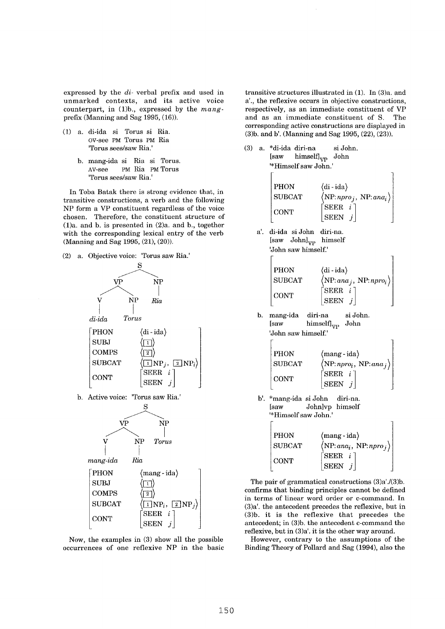expressed by the *di-* verbal prefix and used in unmarked contexts, and its active voice counterpart, in (1)b., expressed by the *mang*prefix (Manning and Sag 1995, (16)).

- (1) a. di-ida si Torus si Ria. ov-see PM Torus PM Ria 'Torus sees/saw Ria.'
	- b. mang-ida si Ria si Torus. nv-see PM Ria PM Torus 'Torus sees/saw Ria.'

In Toba Batak there is strong evidence that, in transitive constructions, a verb and the following NP form a VP constituent regardless of the voice chosen. Therefore, the constituent structure of (1)a. and b. is presented in (2)a. and b., together with the corresponding lexical entry of the verb (Manning and Sag 1995, (21), (20)).

(2) a. Objective voice: 'Torus saw Ria.'



b. Active voice: 'Torus saw Ria.'



*mang-ida Ria* 

PHON SUBJ COMPS **SUBCAT CONT** (mang - ida}  $\langle \Box \rangle$  $\langle \overline{2} \rangle$  $\sqrt{[1]} NP_i$ ,  $\sqrt{2} NP_i$ SEER i **SEEN** 

Now, the examples in (3) show all the possible occurrences of one reflexive NP in the basic transitive structures illustrated in (1). In (3)a. and a'., the reflexive occurs in objective constructions, respectively, as an immediate constituent of VP and as an immediate constituent of S. The corresponding active constructions are displayed in (3)b. and b'. (Manning and Sag 1995, (22), (23)).

- (3) a. \*di-ida diri-na si John. [saw himself]<sub>VP</sub> John '\*Himself saw John.' PHON  $\langle di-ida \rangle$  $\text{SUBCAT}$   $\langle \text{NP:}$  *npro*<sub>i</sub>,  $\text{NP:}$  *ana<sub>i</sub>* $\rangle$  $\begin{bmatrix} \text{SEER} & i \end{bmatrix}$  $SEEN$ 
	- a'. di-ida siJohn diri-na. [saw John]<sub>VP</sub> himself 'John saw himself.'



b. mang-ida diri-na si John. [saw himself]vp John 'John saw himself.'

| <b>PHON</b>   | $\langle$ mang - ida $\rangle$          |
|---------------|-----------------------------------------|
| <b>SUBCAT</b> | $\langle NP: npro_i, NP: ana_j \rangle$ |
| <b>CONT</b>   | $[SEER \t i]$<br> SEEN j                |

 $\overline{1}$ 

 $\overline{a}$ 

b'. \*mang-ida si John diri-na. [saw Johnlvp himself '\*Himself saw John.'

| <b>PHON</b>   | $\langle$ mang - ida $\rangle$         |
|---------------|----------------------------------------|
| <b>SUBCAT</b> | $\langle NP:ana_i, NP: npro_j \rangle$ |
| CONT          | $\lceil$ SEER i $\rceil$               |
|               | $ $ SEEN $j$                           |

The pair of grammatical constructions (3)a'./(3)b. confirms that binding principles cannot be defined in terms of linear word order or c-command. In (3)a'. the antecedent precedes the reflexive, but in (3)b. it is the reflexive that precedes the antecedent; in (3)b. the antecedent c-command the reflexive, but in (3)a'. it is the other way around.

However, contrary to the assumptions of the Binding Theory of Pollard and Sag (1994), also the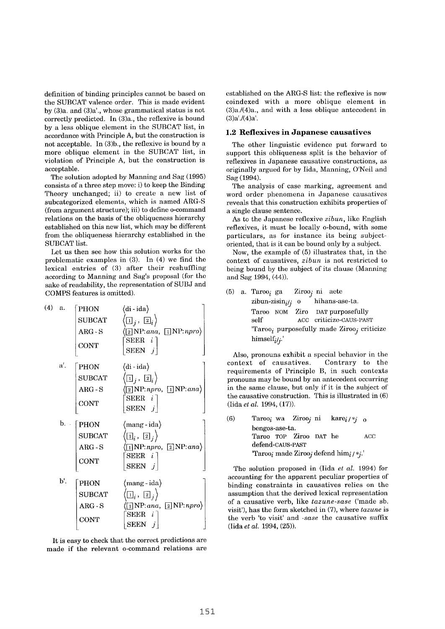definition of binding principles cannot be based on the SUBCAT valence order. This is made evident by (3)a. and (3)a'., whose grammatical status is not correctly predicted. In (3)a., the reflexive is bound by a less oblique element in the SUBCAT list, in accordance with Principle A, but the construction is not acceptable. In (3)b., the reflexive is bound by a more oblique element in the SUBCAT list, in violation of Principle A, but the construction is acceptable.

The solution adopted by Manning and Sag (1995) consists of a three step move: i) to keep the Binding Theory unchanged; ii) to create a new list of subcategorized elements, which is named ARG-S (from argument structure); iii) to define o-command relations on the basis of the obliqueness hierarchy established on this new list, which may be different from the obliqueness hierarchy established in the SUBCAT list.

Let us then see how this solution works for the problematic examples in (3). In (4) we find the lexical entries of  $(3)$  after their reshuffling according to Manning and Sag's proposal (for the sake of readability, the representation of SUBJ and COMPS features is omitted).

| (4) a. |                 | <b>PHON</b>           | (di - ida)                                                            |
|--------|-----------------|-----------------------|-----------------------------------------------------------------------|
|        |                 | <b>SUBCAT</b>         | $\ket{\text{I}_j}$ , $\ket{\text{2}_i}$                               |
|        |                 | $\rm{ARG}$ - $\rm{S}$ | $\boxed{2}$ NP: ana, $\boxed{1}$ NP: npro                             |
|        |                 | <b>CONT</b>           | $SEER \t i$<br>SEEN $j$                                               |
|        | a'.             | PHON                  | $\langle$ di - ida $\rangle$                                          |
|        |                 | <b>SUBCAT</b>         | $\langle \boxdot_i$ , $\boxdot_i \rangle$                             |
|        |                 | $ARG-S$               | $\sqrt{2}$ NP:npro, $\sqrt{1}$ NP:ana)                                |
|        |                 | <b>CONT</b>           | SEER <sub>i</sub><br>SEEN $j$                                         |
|        |                 |                       |                                                                       |
|        |                 | $\mathbf{b}$ . [PHON] | (mang - ida)                                                          |
|        |                 | <b>SUBCAT</b>         | $\left(\overline{1}\right]_i$ , $\left(\overline{2}\right]_j$         |
|        |                 | $\rm{ARG}$ - $\rm{S}$ | $\boxed{1}$ NP:npro, $\boxed{2}$ NP:ana)                              |
|        |                 |                       | $\text{SEER}$ i                                                       |
|        |                 | <b>CONT</b>           | SEEN $j$                                                              |
|        | $\mathbf{b}'$ . | PHON                  | $\langle$ mang - ida $\rangle$                                        |
|        |                 | $\rm SUBCAT$          | $\langle \boxdot_i$ , (2), $\rangle$                                  |
|        |                 | $ARG-S$               | $\langle \boxed{1}$ NP: ana, $\boxed{2}$ NP: npro $\rangle$<br>SEER i |

It is easy to check that the correct predictions are made if the relevant o-command relations are established on the ARG-S list: the reflexive is now coindexed with a more oblique element in (3)a./(4)a., and with a less oblique antecedent in  $(3)a'/(4)a'.$ 

#### **1.2 Reflexives in Japanese causatives**

The other linguistic evidence put forward to support this obliqueness split is the behavior of reflexives in Japanese causative constructions, as originally argued for by Iida, Manning, O'Neil and Sag (1994).

The analysis of case marking, agreement and word order phenomena in Japanese causatives reveals that this construction exhibits properties of a single clause sentence.

As to the Japanese reflexive *zibun,* like English reflexives, it must be locally o-bound, with some particulars, as for instance its being subjectoriented, that is it can be bound only by a subject.

Now, the example of (5) illustrates that, in the context of causatives, *zibun* is not restricted to being bound by the subject of its clause (Manning and Sag 1994, (44)).

(5) a. Taroo<sub>i</sub> ga Ziroo<sub>i</sub> ni aete *zibun-zisini/j o* hihans-ase-ta. Taroo NGM Ziro DAT purposefully self ACC criticize-CAUS-PAST  $Taroo<sub>i</sub>$  purposefully made Ziroo<sub>i</sub> criticize *himselfi/j.'* 

Also, pronouns exhibit a special behavior in the context of causatives. Contrary to the requirements of Principle B, in such contexts pronouns may be bound by an antecedent occurring in the same clause, but only if it is the subject of the causative construction. This is illustrated in (6) (Iida *et al.* 1994, (17)).

(6) Taroo<sub>i</sub> wa Ziroo<sub>i</sub> ni kare $i \nmid *j$  o bengos-ase-ta. Taroo TOP Ziroo DAT he AOC defend-CAUS-PAST 'Taroo<sub>i</sub> made Ziroo<sub>i</sub> defend him<sub>i</sub>/\*;.'

The solution proposed in (lida *et al.* 1994) for accounting for the apparent peculiar properties of binding constraints in causatives relies on the assumption that the derived lexical representation of a causative verb, like *tazune-sase* ('made sb. visit'), has the form sketched in (7), where *tazune* is the verb 'to visit' and *-sase* the causative suffix (lida *et al.* 1994, (25)).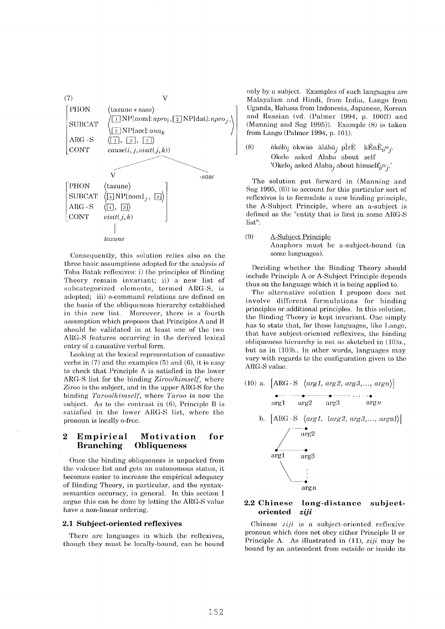

Consequently, this solution relies also on the three basic assumptions adopted for the analysis of Toba Batak reflexives: i) the principles of Binding Theory remain invariant; ii) a new list of subcategorized elements, termed ARG-S, is adopted; iii) o-command relations are defined on the basis of the obliqueness hierarchy established in this new list. Moreover, there is a fourth assumption which proposes that Principles A and B should be validated in at least one of the two ARG-S features occurring in the derived lexical entry of a causative verbal form.

Looking at the lexical representation of causative verbs in (7) and the examples (5) and (6), it is easy to check that Principle A is satisfied in the lower ARG-S list for the binding *Ziroo/himself,* where *Ziroo* is the subject, and in the upper ARG-S for the binding *Taroo/himself,* where *Taroo* is now the subject. As to the contrast in (6), Principle B is satisfied in the lower ARG-S list, where the pronoun is locally o-free.

## **2 Empirical Motivation for Branching Obliqueness**

Once the binding obliqueness is unpacked from the valence list and gets an autonomous status, it becomes easier to increase the empirical adequacy of Binding Theory, in particular, and the syntaxsemantics accuracy, in general. In this section I argue this can be done by letting the ARG-S value have a non-linear ordering.

#### **2.1 Subject-oriented reflexives**

There are languages in which the reflexives, though they must be locally-bound, can be bound only by a subject. Examples of such languages are Malayalam and Hindi, from India, Lango from Uganda, Bahasa from Indonesia, Japanese, Korean and Russian (vd. (Palmer 1994, p. 100ff) and (Manning and Sag 1995)). Example (8) is taken from Lango (Palmer 1994, p. 101).

(8) okélo<sub>i</sub> okwao alába<sub>i</sub> pÌrÈ kÉnÊ<sub>i/\*j</sub>. Okelo asked Alaba about self 'Okelo<sub>i</sub> asked Alaba<sub>j</sub> about himself<sub>i</sub>/\*;.'

The solution put forward in (Manning and Sag  $1995, (6)$ ) to account for this particular sort of reflexives is to formulate a new binding principle, the A-Subject Principle, where an a-subject is defined as the "entity that is first in some ARG-S list":

(9) A-Subject Principle Anaphors must be a-subject-bound (in some languages).

Deciding whether the Binding Theory should include Principle A or A-Subject Principle depends thus on the language which it is being applied to.

The alternative solution I propose does not involve different formulations for binding principles or additional principles. In this solution, the Binding Theory is kept invariant. One simply has to state that, for those languages, like Lango, that have subject-oriented reflexives, the binding obliqueness hierarchy is not as sketched in (10)a., but as in (10)b.. In other words, languages may vary with regards to the configuration given to the ARG-S value.



#### **2.2 Chinese long-distance subjectoriented** *ziji*

arg n

Chinese *ziji* is a subject-oriented reflexive pronoun which does not obey either Principle B or Principle A. As illustrated in (11), *ziji* may be bound by an antecedent from outside or inside its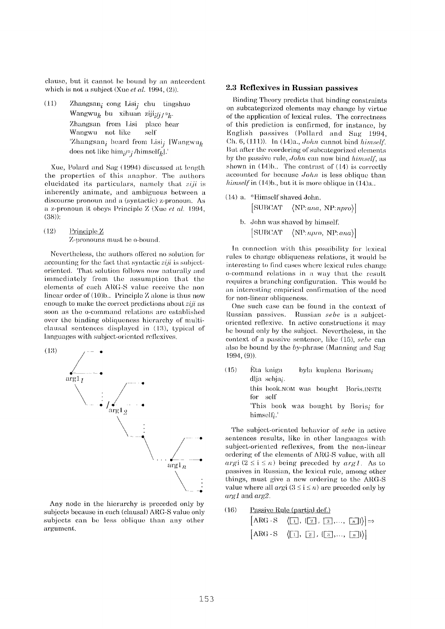clause, but it cannot he bound by an antecedent which is not a subject (Xue *et al.* 1994, (2)).

(11) Zhangsan<sub>i</sub> cong Lisi<sub>j</sub> chu tingshuo Wangwu<sub>k</sub> bu xihuan  $\chi$ *iji<sub>i/j/</sub>\*<sub>k</sub>*. Zhangsan from Lisi place hear Wangwu not like self' 'Zhangsan<sub>i</sub> heard from Lisi<sub>i</sub> [Wangwu<sub>k</sub> does not like  $\lim_{i \to i}$  /himself<sub>k</sub>].'

Xue, Polard and Sag (1994) discussed at length the properties of this anaphor. The authors elucidated its particulars, namely that *ziji* is inherently animate, and ambiguous between a discourse pronoun and a (syntactic) z-pronoun. As **at** z-pronoun it obeys Principle Z (Xue *at al.* 1994, (38)):

 $(12)$  Principle Z Z-pronouns must be o-bound.

Nevertheless, the authors offered no solution for accounting for the fact that syntactic *ziji* is subjectoriented. That solution follows now naturally and immediately from the assumption that the elements of each ARG-S value receive the non linear order of (10)b.. Principle Z alone is thus now enough to make the correct predictions about *ziji as*  soon as the o-command relations arc established over the binding obliqueness hierarchy of multiclausal sentences displayed in  $(13)$ , typical of languages with subject-oriented reflexives.



Any node in the hierarchy is preceded only by subjects because in each (clausal) ARG-S value only subjects can be less oblique than any other argument.

#### **2.3 Reflexives in Russian passives**

Binding Theory predicts that binding constraints on subcategorized elements may change by virtue of' the application of lexical rules. The correctness of this prediction is confirmed, for instance, by English passives (Pollard and Sag 1994, (]h. 6, (111)). In (14)a., *John* cannot bind *himself.*  But after the reordering of subcategorized elements by the passive rule, *John* can now bind *himself, as*  shown in  $(14)$ b.. The contrast of  $(14)$  is correctly accounted for because *John* is less oblique than *himself in* (14)b., but it is more oblique in (14)a..

- $(14)$  a. \*Himself shaved John. [SUBCAT]  $\langle NP:ana, NP: npro \rangle$ 
	- b. John was shaved by himseH:  $[SUBCAT - \langle NP:npro, NP:ana \rangle]$

In connection with this possibility for lexical rules to change obliqueness relations, it would be interesting to find cases where lexical rules change o-command relations in a way that the result requires a branching configuration. This would be an interesting empirical confirmation of the need for non-linear obliqueness.

One such case can be found in the context of Russian passives. Russian *sebe* is a subjectoriented reflexive. In active constructions it may he bound only by the subject. Nevertheless, in the context of a passive sentence, like (15), *sebe* can also be bound by the by-phrase (Manning and Sag 1994, (9)).

(15)  $\hat{E}$ ta kniga byla kuplena Borisom<sub>i</sub> dlja sehjai. this book.NOM was bought Boris.INSTR for self 'This book was bought by Boris; for himself;

The subject-oriented behavior of *sebe* in active sentences results, like in other languages with subject-oriented reflexives, from the non-linear ordering of the elements of ARG-S value, with all  $argi (2 \leq i \leq n)$  being preceded by  $arg1$ . As to passives in Russian, the lexical rule, among other things, must give a new ordering to the ARG-S value where all *arg*i  $(3 \le i \le n)$  are preceded only by *arg1* and *arg2*.

(16) Passive Rule (partial def.)  
\n
$$
[ARG-S \langle [1], \{2], [3], ..., [n] \rangle] \Rightarrow
$$
\n
$$
[ARG-S \langle [1], [2], \{3], ..., [n] \rangle \}
$$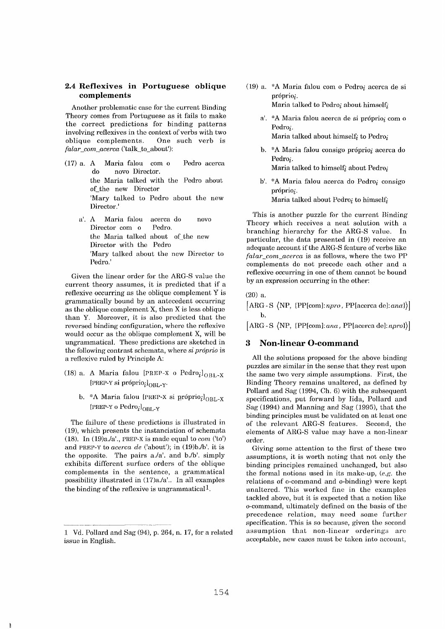## **2.4 Reflexives in Portuguese oblique complements**

Another problematic case for the current Binding Theory comes from Portuguese as it fails to make the correct predictions for binding patterns involving reflexives in the context of verbs with two oblique complements. One such verb is *falar\_com\_acerca* ('talk to about'):

- (17) a. A Maria falou com o Pedro acerca do novo Director. the Maria talked with the Pedro about of\_the new Director 'Mary talked to Pedro about the new Director.'
	- a'. A Maria falou acerca do novo Director com o Pedro. the Maria talked about of the new Director with the Pedro 'Mary talked about the new Director to Pedro.'

Given the linear order for the ARG-S value the current theory assumes, it is predicted that if a reflexive occurring as the oblique complement Y is grammatically bound by an antecedent occurring as the oblique complement X, then X is less oblique than Y. Moreover, it is also predicted that the reversed binding configuration, where the reflexive would occur as the oblique complement X, will be ungrammatical. These predictions are sketched in the following contrast schemata, where *si próprio* is a reflexive ruled by Principle A:

- (18) a. A Maria falou [PREP-X o  $Pedro<sub>i</sub>$ ]<sub>OBL-X</sub> [PREP-Y si próprio $_i$ ]<sub>OBL-Y</sub>.
	- b. \*A Maria falou [PREP-X si próprio $i$ ]<sub>OBL-X</sub>  $[PREP-Y o Pedro_i]_{ORT.V}$

The failure of these predictions is illustrated in (19), which presents the instanciation of schemata (18). In  $(19)a/a'$ , PREP-X is made equal to *com*  $('to')$ and PREP-Y to *acerca de* ('about'); in (19)b./b'. it is the opposite. The pairs a./a', and b./b', simply exhibits different surface orders of the oblique complements in the sentence, a grammatical possibility illustrated in (17)a./a'.. In all examples the binding of the reflexive is ungrammatical.

- (19) a.  $*A$  Maria falou com o Pedro; acerca de si próprio:. Maria talked to Pedro<sub>i</sub> about himself;
	- a'. \*A Maria falou acerca de si próprio $_i$  com o Pedro<sub>i</sub>.

Maria talked about himself; to Pedro;

b. \*A Maria falou consigo próprio; acerca do Pedro<sub>i</sub>.

Maria talked to himself<sub>i</sub> about Pedro<sub>i</sub>

b'. \*A Maria falou acerca do Pedro<sub>i</sub> consigo próprio;. Maria talked about Pedro<sub>i</sub> to himself<sub>i</sub>

This is another puzzle for the current Binding Theory which receives a neat solution with a branching hierarchy for the ARG-S value. In particular, the data presented in (19) receive an adequate account if the ARG~S feature of verbs like *falar\_com\_acerca* is as follows, where the two PP complements do not precede each other and a reflexive occurring in one of them cannot be bound by an expression occurring in the other:

(20) a.

[ARG-S (NP, *{PP[com]:npro,* PP[acerca *de]:ana}}]*  b.

 $[ARG-S \langle NP, {PP[com]}; ana, PP[acerca de]; npro] \rangle]$ 

## **3 Non-linear O-command**

All the solutions proposed for the above binding puzzles are similar in the sense that they rest upon the same two very simple assumptions. First, the Binding Theory remains unaltered, as defined by Pollard and Sag (1994, Ch. 6) with the subsequent specifications, put forward by Iida, Pollard and Sag (1994) and Manning and Sag (1995), that the binding principles must be validated on at least one of the relevant ARG-S features. Second, the elements of ARG-S value may have a non-linear order.

Giving some attention to the first of these two assumptions, it is worth noting that not only the binding principles remained unchanged, but also the formal notions used in its make-up, *(e.g.* the relations of o-command and o-binding) were kept unaltered. This worked fine in the examples tackled above, but it is expected that a notion like o-command, ultimately defined on the basis of the precedence relation, may need some further specification. This is so because, given the second assumption that non-linear orderings are acceptable, new cases must be taken into account,

<sup>1</sup> Vd. Pollard and Sag (94), p. 264, n. 17, for a related issue in English.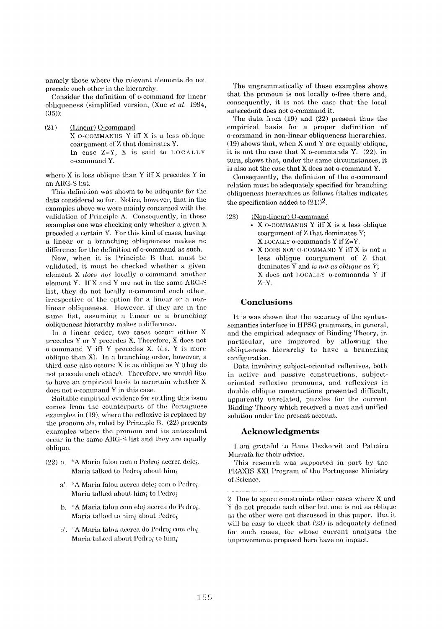namely those where the relevant elements do not precede each other in the hierarchy.

Consider the definition of o-command for linear obliqueness (simplified version, (Xue *et al.* 1994, (35)):

(21) (Linear) O-command X O-COMMANDS Y iff X is a less oblique coargument of Z that dominates Y. In case  $Z=Y$ , X is said to LOCALLY o-command Y.

where X is less oblique than Y iff X precedes Y in an ARG-S lisL

This definition was shown to be adequate for the data considered so far. Notice, however, that in the examples above we were mainly concerned with the validation of Principle A. Consequently, in those examples one was checking only whether a given X preceded a certain Y. For this kind of cases, having a linear or a branching obliqueness makes no difference for the definition of o-command as such.

Now, when it is Principle B that must be validated, it must be checked whether a given element X *does not* locally o-cemmand another element Y. If X and Y are not in the same ARG-S list, they do not locally o-command each other, irrespective of the option for a linear or a nonlinear obliqueness. However, if they are in the same list, assuming a linear or a branching obliqueness hierarchy makes a difference.

In a linear order, two cases occur: either X precedes Y or Y precedes X. Therefore, X does not o-command Y iff Y precedes X. *(i.e.* Y is more oblique than X). In a branching order, however, a third case also occurs: X is as oblique as Y (they do not precede each other). Therefore, we would like to have an empirical basis to ascertain whether X does not o-command Y in this case.

Suitable empirical evidence for settling this issue comes from the counterparts of the Portuguese examples in  $(19)$ , where the reflexive is replaced by the pronoun *ele*, ruled by Principle B. (22) presents examples where the pronoun and its antecedent occur in the same ARG-S list and they are equally oblique.

- (22) a.  $*A$  Maria falou com o Pedro<sub>i</sub> acerca dele<sub>i</sub>. Maria talked to Pedro<sub>i</sub> about him<sub>i</sub>
	- $a'$ . \*A Maria falou acerca dele<sub>i</sub> com o Pedro<sub>i</sub>. Maria talked about him<sub>i</sub> to Pedro<sub>i</sub>
	- b. \*A Maria falou com elei acerca do Pedro<sub>i</sub>. Maria talked to him<sub>i</sub> about Pedro<sub>i</sub>
	- b'. \*A Maria falou acerca do Pedroi com elei. Maria talked about Pedro<sub>i</sub> to him<sub>i</sub>

The ungrammatically of these examples shows that the pronoun is not locally o-free there and, consequently, it is not the case that the local antecedent does not o-command it.

The data from  $(19)$  and  $(22)$  present thus the empirical basis for a proper definition of o-command in non-linear obliqueness hierarchies. (19) shows that, when X and Y are equally oblique, it is not the case that X o-commands Y. (22), in turn, shows that, under the same circumstances, it is also not the case that X does not o-command Y.

Consequently, the definition of the o-command relation must be adequately specified for branching obliqueness hierarchies as tbllows (italics indicates the specification added to  $(21)$ <sup>2</sup>.

 $(23)$  (Non-linear) O-command

- X 0-COMMANDS Y iff X is a less oblique coargument of Z that dominates Y; X LOCALLY o-commands Y if Z=Y.
	- X DOES NOT O-COMMAND Y iff X is not a less oblique coargument of Z that dominates Y and *is not as oblique as Y;*  X does not I,OCALI,Y o-commands Y if  $Z = Y$ .

#### **Conclusions**

It is was shown that the accuracy of the syntaxsemantics interface in HPSG grammars, in general, and the empirical adequacy of Binding Theory, in particular, are improved by allowing the ohliqueness hierarchy to have a branching configuration.

Data involving subject-oriented rellexives, both in active and passive constructions, subjectoriented reflexive pronouns, and reflexives in double oblique constructions presented difficult, apparently unrelated, puzzles for the current Binding Theory which received a neat and unified solution under the present account.

#### **Acknowledgments**

i am grateful to Hans Uszkoreit and Pahnira Marrafa for their advice.

This research was supported in part by the PRAXIS XX1 l'rogram of the Portuguese Ministry of Science.

<sup>2</sup> Due to space, constraints other cases where X and Y do not precede each other but one is not as oblique as the other were not discussed in this paper. But it will be easy to check that  $(23)$  is adequately defined for such cases, for whose current analyses the improvements proposed here have no impact.